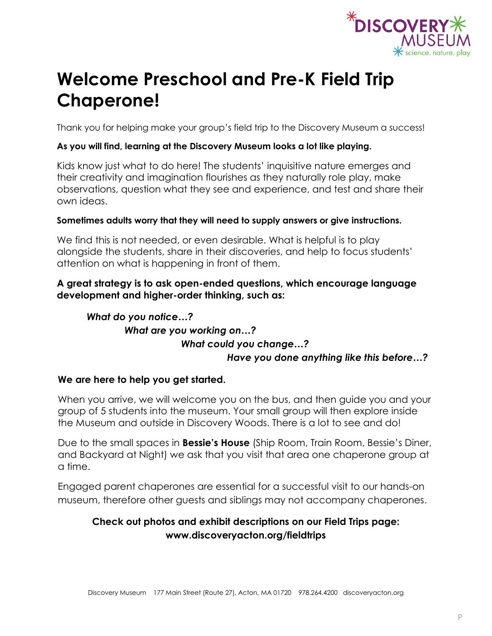

# **Welcome Preschool and Pre-K Field Trip Chaperone!**

Thank you for helping make your group's field trip to the Discovery Museum a success!

### **As you will find, learning at the Discovery Museum looks a lot like playing.**

Kids know just what to do here! The students' inquisitive nature emerges and their creativity and imagination flourishes as they naturally role play, make observations, question what they see and experience, and test and share their own ideas.

### **Sometimes adults worry that they will need to supply answers or give instructions.**

We find this is not needed, or even desirable. What is helpful is to play alongside the students, share in their discoveries, and help to focus students' attention on what is happening in front of them.

### **A great strategy is to ask open-ended questions, which encourage language development and higher-order thinking, such as:**

### *What do you notice…? What are you working on…? What could you change…? Have you done anything like this before…?*

### **We are here to help you get started.**

When you arrive, we will welcome you on the bus, and then guide you and your group of 5 students into the museum. Your small group will then explore inside the Museum and outside in Discovery Woods. There is a lot to see and do!

Due to the small spaces in **Bessie's House** (Ship Room, Train Room, Bessie's Diner, and Backyard at Night) we ask that you visit that area one chaperone group at a time.

Engaged parent chaperones are essential for a successful visit to our hands-on museum, therefore other guests and siblings may not accompany chaperones.

### **Check out photos and exhibit descriptions on our Field Trips page: www.discoveryacton.org/fieldtrips**